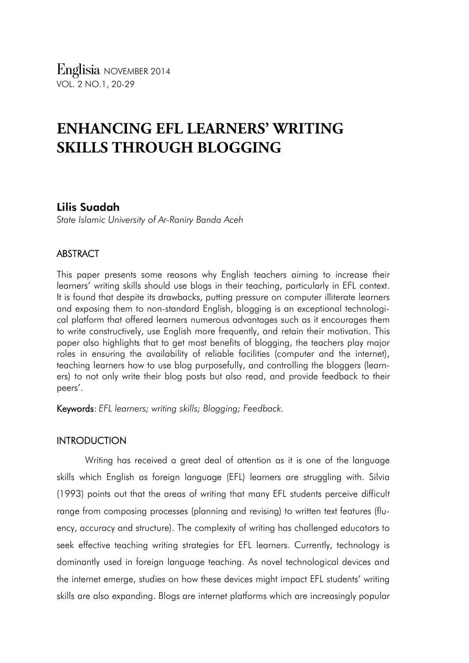# **ENHANCING EFL LEARNERS' WRITING SKILLS THROUGH BLOGGING**

## Lilis Suadah

*State Islamic University of Ar-Raniry Banda Aceh*

## ABSTRACT

This paper presents some reasons why English teachers aiming to increase their learners' writing skills should use blogs in their teaching, particularly in EFL context. It is found that despite its drawbacks, putting pressure on computer illiterate learners and exposing them to non-standard English, blogging is an exceptional technological platform that offered learners numerous advantages such as it encourages them to write constructively, use English more frequently, and retain their motivation. This paper also highlights that to get most benefits of blogging, the teachers play major roles in ensuring the availability of reliable facilities (computer and the internet), teaching learners how to use blog purposefully, and controlling the bloggers (learners) to not only write their blog posts but also read, and provide feedback to their peers'.

Keywords: *EFL learners; writing skills; Blogging; Feedback.*

### **INTRODUCTION**

Writing has received a great deal of attention as it is one of the language skills which English as foreign language (EFL) learners are struggling with. Silvia (1993) points out that the areas of writing that many EFL students perceive difficult range from composing processes (planning and revising) to written text features (fluency, accuracy and structure). The complexity of writing has challenged educators to seek effective teaching writing strategies for EFL learners. Currently, technology is dominantly used in foreign language teaching. As novel technological devices and the internet emerge, studies on how these devices might impact EFL students' writing skills are also expanding. Blogs are internet platforms which are increasingly popular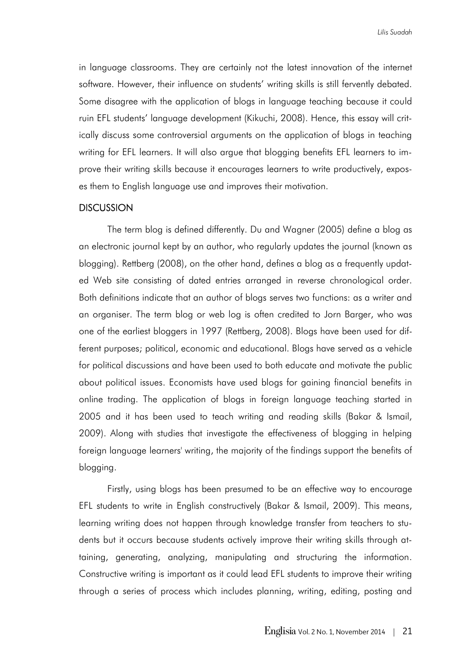in language classrooms. They are certainly not the latest innovation of the internet software. However, their influence on students' writing skills is still fervently debated. Some disagree with the application of blogs in language teaching because it could ruin EFL students' language development (Kikuchi, 2008). Hence, this essay will critically discuss some controversial arguments on the application of blogs in teaching writing for EFL learners. It will also argue that blogging benefits EFL learners to improve their writing skills because it encourages learners to write productively, exposes them to English language use and improves their motivation.

#### **DISCUSSION**

The term blog is defined differently. Du and Wagner (2005) define a blog as an electronic journal kept by an author, who regularly updates the journal (known as blogging). Rettberg (2008), on the other hand, defines a blog as a frequently updated Web site consisting of dated entries arranged in reverse chronological order. Both definitions indicate that an author of blogs serves two functions: as a writer and an organiser. The term blog or web log is often credited to Jorn Barger, who was one of the earliest bloggers in 1997 (Rettberg, 2008). Blogs have been used for different purposes; political, economic and educational. Blogs have served as a vehicle for political discussions and have been used to both educate and motivate the public about political issues. Economists have used blogs for gaining financial benefits in online trading. The application of blogs in foreign language teaching started in 2005 and it has been used to teach writing and reading skills (Bakar & Ismail, 2009). Along with studies that investigate the effectiveness of blogging in helping foreign language learners' writing, the majority of the findings support the benefits of blogging.

Firstly, using blogs has been presumed to be an effective way to encourage EFL students to write in English constructively (Bakar & Ismail, 2009). This means, learning writing does not happen through knowledge transfer from teachers to students but it occurs because students actively improve their writing skills through attaining, generating, analyzing, manipulating and structuring the information. Constructive writing is important as it could lead EFL students to improve their writing through a series of process which includes planning, writing, editing, posting and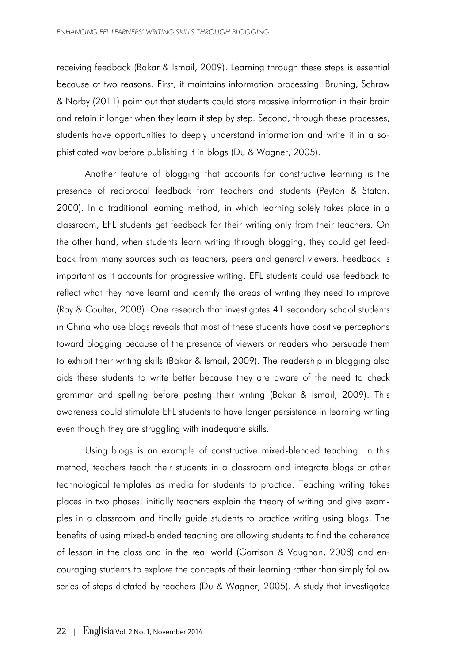receiving feedback (Bakar & Ismail, 2009). Learning through these steps is essential because of two reasons. First, it maintains information processing. Bruning, Schraw & Norby (2011) point out that students could store massive information in their brain and retain it longer when they learn it step by step. Second, through these processes, students have opportunities to deeply understand information and write it in a sophisticated way before publishing it in blogs (Du & Wagner, 2005).

Another feature of blogging that accounts for constructive learning is the presence of reciprocal feedback from teachers and students (Peyton & Staton, 2000). In a traditional learning method, in which learning solely takes place in a classroom, EFL students get feedback for their writing only from their teachers. On the other hand, when students learn writing through blogging, they could get feedback from many sources such as teachers, peers and general viewers. Feedback is important as it accounts for progressive writing. EFL students could use feedback to reflect what they have learnt and identify the areas of writing they need to improve (Ray & Coulter, 2008). One research that investigates 41 secondary school students in China who use blogs reveals that most of these students have positive perceptions toward blogging because of the presence of viewers or readers who persuade them to exhibit their writing skills (Bakar & Ismail, 2009). The readership in blogging also aids these students to write better because they are aware of the need to check grammar and spelling before posting their writing (Bakar & Ismail, 2009). This awareness could stimulate EFL students to have longer persistence in learning writing even though they are struggling with inadequate skills.

Using blogs is an example of constructive mixed-blended teaching. In this method, teachers teach their students in a classroom and integrate blogs or other technological templates as media for students to practice. Teaching writing takes places in two phases: initially teachers explain the theory of writing and give examples in a classroom and finally guide students to practice writing using blogs. The benefits of using mixed-blended teaching are allowing students to find the coherence of lesson in the class and in the real world (Garrison & Vaughan, 2008) and encouraging students to explore the concepts of their learning rather than simply follow series of steps dictated by teachers (Du & Wagner, 2005). A study that investigates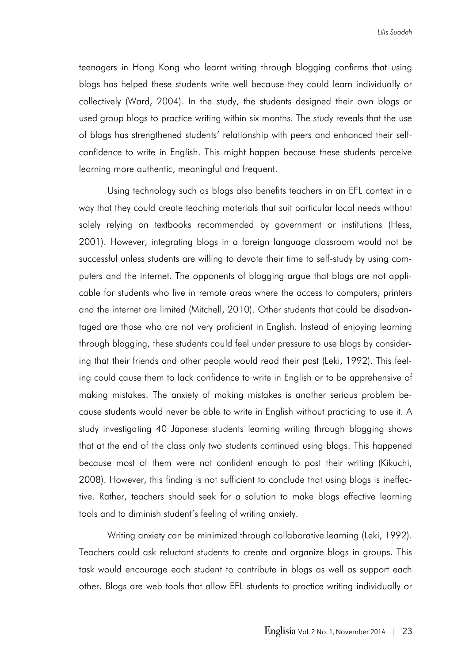teenagers in Hong Kong who learnt writing through blogging confirms that using blogs has helped these students write well because they could learn individually or collectively (Ward, 2004). In the study, the students designed their own blogs or used group blogs to practice writing within six months. The study reveals that the use of blogs has strengthened students' relationship with peers and enhanced their selfconfidence to write in English. This might happen because these students perceive learning more authentic, meaningful and frequent.

Using technology such as blogs also benefits teachers in an EFL context in a way that they could create teaching materials that suit particular local needs without solely relying on textbooks recommended by government or institutions (Hess, 2001). However, integrating blogs in a foreign language classroom would not be successful unless students are willing to devote their time to self-study by using computers and the internet. The opponents of blogging argue that blogs are not applicable for students who live in remote areas where the access to computers, printers and the internet are limited (Mitchell, 2010). Other students that could be disadvantaged are those who are not very proficient in English. Instead of enjoying learning through blogging, these students could feel under pressure to use blogs by considering that their friends and other people would read their post (Leki, 1992). This feeling could cause them to lack confidence to write in English or to be apprehensive of making mistakes. The anxiety of making mistakes is another serious problem because students would never be able to write in English without practicing to use it. A study investigating 40 Japanese students learning writing through blogging shows that at the end of the class only two students continued using blogs. This happened because most of them were not confident enough to post their writing (Kikuchi, 2008). However, this finding is not sufficient to conclude that using blogs is ineffective. Rather, teachers should seek for a solution to make blogs effective learning tools and to diminish student's feeling of writing anxiety.

Writing anxiety can be minimized through collaborative learning (Leki, 1992). Teachers could ask reluctant students to create and organize blogs in groups. This task would encourage each student to contribute in blogs as well as support each other. Blogs are web tools that allow EFL students to practice writing individually or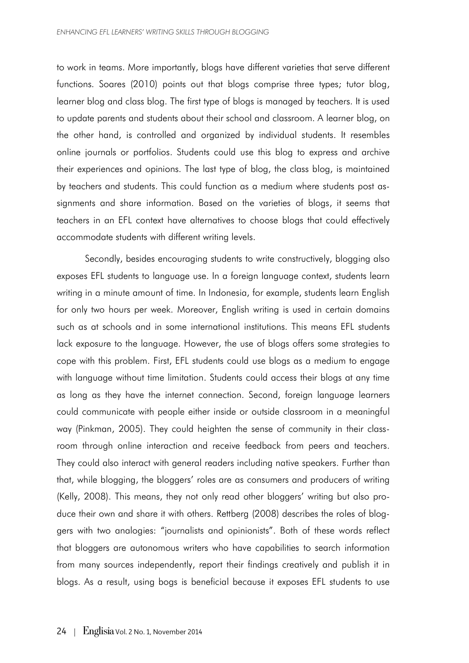to work in teams. More importantly, blogs have different varieties that serve different functions. Soares (2010) points out that blogs comprise three types; tutor blog, learner blog and class blog. The first type of blogs is managed by teachers. It is used to update parents and students about their school and classroom. A learner blog, on the other hand, is controlled and organized by individual students. It resembles online journals or portfolios. Students could use this blog to express and archive their experiences and opinions. The last type of blog, the class blog, is maintained by teachers and students. This could function as a medium where students post assignments and share information. Based on the varieties of blogs, it seems that teachers in an EFL context have alternatives to choose blogs that could effectively accommodate students with different writing levels.

Secondly, besides encouraging students to write constructively, blogging also exposes EFL students to language use. In a foreign language context, students learn writing in a minute amount of time. In Indonesia, for example, students learn English for only two hours per week. Moreover, English writing is used in certain domains such as at schools and in some international institutions. This means EFL students lack exposure to the language. However, the use of blogs offers some strategies to cope with this problem. First, EFL students could use blogs as a medium to engage with language without time limitation. Students could access their blogs at any time as long as they have the internet connection. Second, foreign language learners could communicate with people either inside or outside classroom in a meaningful way (Pinkman, 2005). They could heighten the sense of community in their classroom through online interaction and receive feedback from peers and teachers. They could also interact with general readers including native speakers. Further than that, while blogging, the bloggers' roles are as consumers and producers of writing (Kelly, 2008). This means, they not only read other bloggers' writing but also produce their own and share it with others. Rettberg (2008) describes the roles of bloggers with two analogies: "journalists and opinionists". Both of these words reflect that bloggers are autonomous writers who have capabilities to search information from many sources independently, report their findings creatively and publish it in blogs. As a result, using bogs is beneficial because it exposes EFL students to use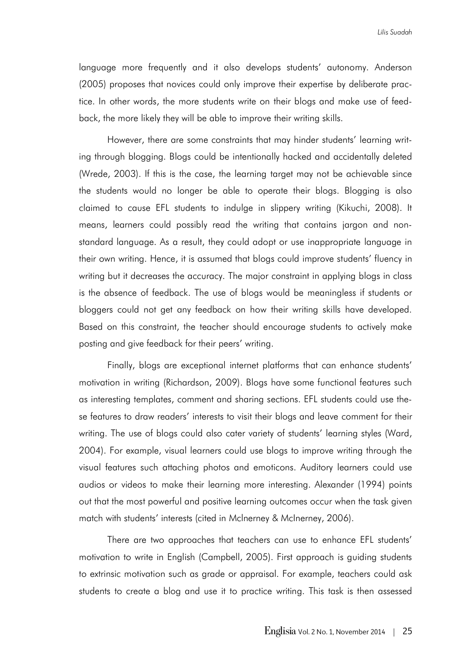language more frequently and it also develops students' autonomy. Anderson (2005) proposes that novices could only improve their expertise by deliberate practice. In other words, the more students write on their blogs and make use of feedback, the more likely they will be able to improve their writing skills.

However, there are some constraints that may hinder students' learning writing through blogging. Blogs could be intentionally hacked and accidentally deleted (Wrede, 2003). If this is the case, the learning target may not be achievable since the students would no longer be able to operate their blogs. Blogging is also claimed to cause EFL students to indulge in slippery writing (Kikuchi, 2008). It means, learners could possibly read the writing that contains jargon and nonstandard language. As a result, they could adopt or use inappropriate language in their own writing. Hence, it is assumed that blogs could improve students' fluency in writing but it decreases the accuracy. The major constraint in applying blogs in class is the absence of feedback. The use of blogs would be meaningless if students or bloggers could not get any feedback on how their writing skills have developed. Based on this constraint, the teacher should encourage students to actively make posting and give feedback for their peers' writing.

Finally, blogs are exceptional internet platforms that can enhance students' motivation in writing (Richardson, 2009). Blogs have some functional features such as interesting templates, comment and sharing sections. EFL students could use these features to draw readers' interests to visit their blogs and leave comment for their writing. The use of blogs could also cater variety of students' learning styles (Ward, 2004). For example, visual learners could use blogs to improve writing through the visual features such attaching photos and emoticons. Auditory learners could use audios or videos to make their learning more interesting. Alexander (1994) points out that the most powerful and positive learning outcomes occur when the task given match with students' interests (cited in Mclnerney & McInerney, 2006).

There are two approaches that teachers can use to enhance EFL students' motivation to write in English (Campbell, 2005). First approach is guiding students to extrinsic motivation such as grade or appraisal. For example, teachers could ask students to create a blog and use it to practice writing. This task is then assessed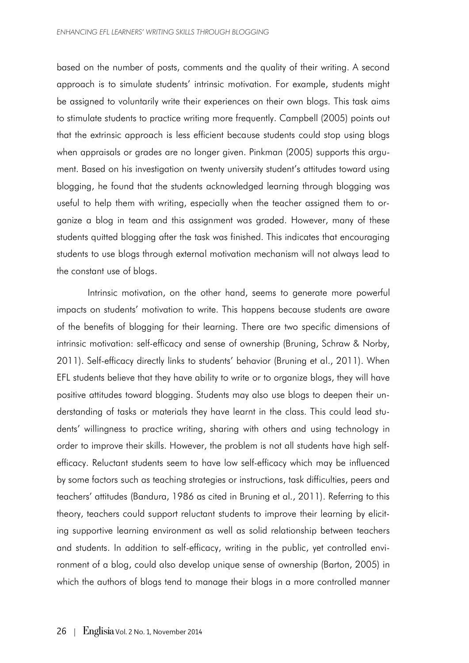based on the number of posts, comments and the quality of their writing. A second approach is to simulate students' intrinsic motivation. For example, students might be assigned to voluntarily write their experiences on their own blogs. This task aims to stimulate students to practice writing more frequently. Campbell (2005) points out that the extrinsic approach is less efficient because students could stop using blogs when appraisals or grades are no longer given. Pinkman (2005) supports this argument. Based on his investigation on twenty university student's attitudes toward using blogging, he found that the students acknowledged learning through blogging was useful to help them with writing, especially when the teacher assigned them to organize a blog in team and this assignment was graded. However, many of these students quitted blogging after the task was finished. This indicates that encouraging students to use blogs through external motivation mechanism will not always lead to the constant use of blogs.

Intrinsic motivation, on the other hand, seems to generate more powerful impacts on students' motivation to write. This happens because students are aware of the benefits of blogging for their learning. There are two specific dimensions of intrinsic motivation: self-efficacy and sense of ownership (Bruning, Schraw & Norby, 2011). Self-efficacy directly links to students' behavior (Bruning et al., 2011). When EFL students believe that they have ability to write or to organize blogs, they will have positive attitudes toward blogging. Students may also use blogs to deepen their understanding of tasks or materials they have learnt in the class. This could lead students' willingness to practice writing, sharing with others and using technology in order to improve their skills. However, the problem is not all students have high selfefficacy. Reluctant students seem to have low self-efficacy which may be influenced by some factors such as teaching strategies or instructions, task difficulties, peers and teachers' attitudes (Bandura, 1986 as cited in Bruning et al., 2011). Referring to this theory, teachers could support reluctant students to improve their learning by eliciting supportive learning environment as well as solid relationship between teachers and students. In addition to self-efficacy, writing in the public, yet controlled environment of a blog, could also develop unique sense of ownership (Barton, 2005) in which the authors of blogs tend to manage their blogs in a more controlled manner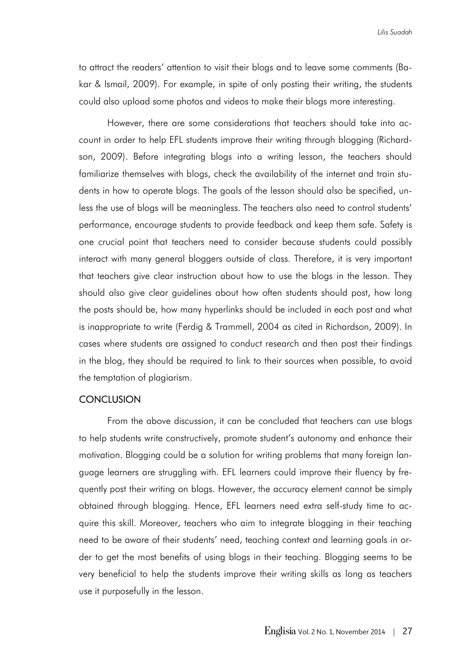to attract the readers' attention to visit their blogs and to leave some comments (Bakar & Ismail, 2009). For example, in spite of only posting their writing, the students could also upload some photos and videos to make their blogs more interesting.

However, there are some considerations that teachers should take into account in order to help EFL students improve their writing through blogging (Richardson, 2009). Before integrating blogs into a writing lesson, the teachers should familiarize themselves with blogs, check the availability of the internet and train students in how to operate blogs. The goals of the lesson should also be specified, unless the use of blogs will be meaningless. The teachers also need to control students' performance, encourage students to provide feedback and keep them safe. Safety is one crucial point that teachers need to consider because students could possibly interact with many general bloggers outside of class. Therefore, it is very important that teachers give clear instruction about how to use the blogs in the lesson. They should also give clear guidelines about how often students should post, how long the posts should be, how many hyperlinks should be included in each post and what is inappropriate to write (Ferdig & Trammell, 2004 as cited in Richardson, 2009). In cases where students are assigned to conduct research and then post their findings in the blog, they should be required to link to their sources when possible, to avoid the temptation of plagiarism.

#### **CONCLUSION**

From the above discussion, it can be concluded that teachers can use blogs to help students write constructively, promote student's autonomy and enhance their motivation. Blogging could be a solution for writing problems that many foreign language learners are struggling with. EFL learners could improve their fluency by frequently post their writing on blogs. However, the accuracy element cannot be simply obtained through blogging. Hence, EFL learners need extra self-study time to acquire this skill. Moreover, teachers who aim to integrate blogging in their teaching need to be aware of their students' need, teaching context and learning goals in order to get the most benefits of using blogs in their teaching. Blogging seems to be very beneficial to help the students improve their writing skills as long as teachers use it purposefully in the lesson.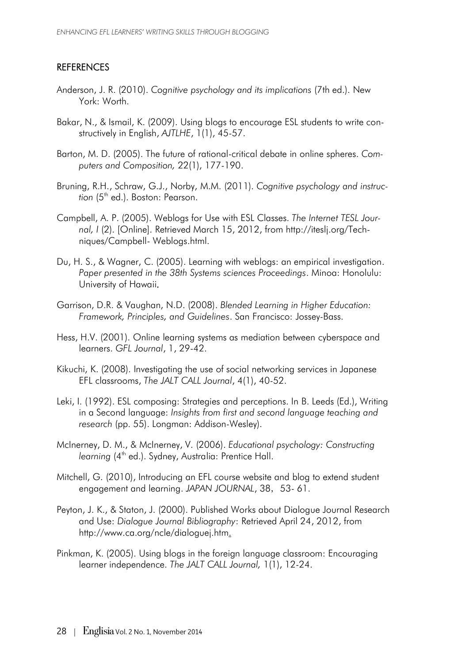### **REFERENCES**

- Anderson, J. R. (2010). *Cognitive psychology and its implications* (7th ed.). New York: Worth.
- Bakar, N., & Ismail, K. (2009). Using blogs to encourage ESL students to write constructively in English, *AJTLHE*, 1(1), 45-57.
- Barton, M. D. (2005). The future of rational-critical debate in online spheres. *Computers and Composition,* 22(1), 177-190.
- Bruning, R.H., Schraw, G.J., Norby, M.M. (2011). *Cognitive psychology and instruction* (5<sup>th</sup> ed.). Boston: Pearson.
- Campbell, A. P. (2005). Weblogs for Use with ESL Classes. *The Internet TESL Journal, I* (2). [Online]. Retrieved March 15, 2012, from http://iteslj.org/Techniques/Campbell- Weblogs.html.
- Du, H. S., & Wagner, C. (2005). Learning with weblogs: an empirical investigation. *Paper presented in the 38th Systems sciences Proceedings*. Minoa: Honolulu: University of Hawaii.
- Garrison, D.R. & Vaughan, N.D. (2008). *Blended Learning in Higher Education: Framework, Principles, and Guidelines*. San Francisco: Jossey-Bass.
- Hess, H.V. (2001). Online learning systems as mediation between cyberspace and learners. *GFL Journal*, 1, 29-42.
- Kikuchi, K. (2008). Investigating the use of social networking services in Japanese EFL classrooms, *The JALT CALL Journal*, 4(1), 40-52.
- Leki, I. (1992). ESL composing: Strategies and perceptions. In B. Leeds (Ed.), Writing in a Second language: *Insights from first and second language teaching and research* (pp. 55). Longman: Addison-Wesley).
- McInerney, D. M., & McInerney, V. (2006). *Educational psychology: Constructing learning* (4<sup>th</sup> ed.). Sydney, Australia: Prentice Hall.
- Mitchell, G. (2010), Introducing an EFL course website and blog to extend student engagement and learning. JAPAN JOURNAL, 38, 53-61.
- Peyton, J. K., & Staton, J. (2000). Published Works about Dialogue Journal Research and Use: *Dialogue Journal Bibliography*: Retrieved April 24, 2012, from http://www.ca.org/ncle/dialoguej.htm.
- Pinkman, K. (2005). Using blogs in the foreign language classroom: Encouraging learner independence. *The JALT CALL Journal,* 1(1), 12-24.